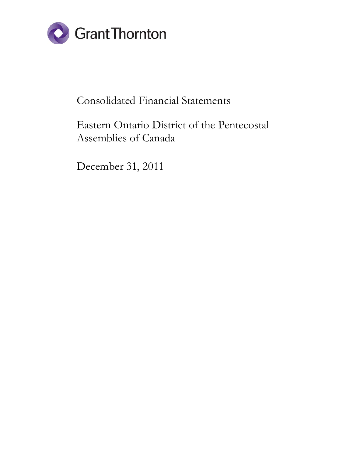

# Consolidated Financial Statements

# Eastern Ontario District of the Pentecostal Assemblies of Canada

December 31, 2011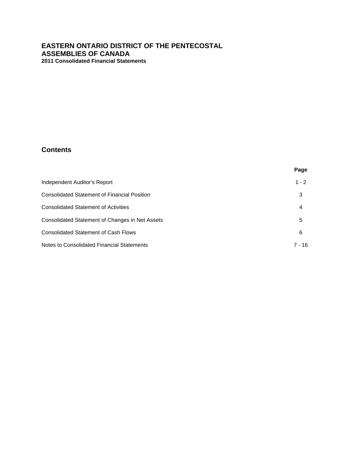# **Contents**

|                                                 | Page     |
|-------------------------------------------------|----------|
| Independent Auditor's Report                    | $1 - 2$  |
| Consolidated Statement of Financial Position    | 3        |
| <b>Consolidated Statement of Activities</b>     | 4        |
| Consolidated Statement of Changes in Net Assets | 5        |
| <b>Consolidated Statement of Cash Flows</b>     | 6        |
| Notes to Consolidated Financial Statements      | $7 - 16$ |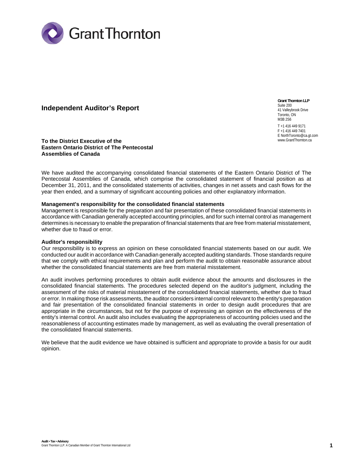

## **Independent Auditor's Report**

**Grant Thornton LLP**  Suite 200 41 Valleybrook Drive Toronto, ON M3B 2S6 T +1 416 449 9171

F +1 416 449 7401 E NorthToronto@ca.gt.com www.GrantThornton.ca

**To the District Executive of the Eastern Ontario District of The Pentecostal Assemblies of Canada**

We have audited the accompanying consolidated financial statements of the Eastern Ontario District of The Pentecostal Assemblies of Canada, which comprise the consolidated statement of financial position as at December 31, 2011, and the consolidated statements of activities, changes in net assets and cash flows for the year then ended, and a summary of significant accounting policies and other explanatory information.

#### **Management's responsibility for the consolidated financial statements**

Management is responsible for the preparation and fair presentation of these consolidated financial statements in accordance with Canadian generally accepted accounting principles, and for such internal control as management determines is necessary to enable the preparation of financial statements that are free from material misstatement, whether due to fraud or error.

#### **Auditor's responsibility**

Our responsibility is to express an opinion on these consolidated financial statements based on our audit. We conducted our audit in accordance with Canadian generally accepted auditing standards. Those standards require that we comply with ethical requirements and plan and perform the audit to obtain reasonable assurance about whether the consolidated financial statements are free from material misstatement.

An audit involves performing procedures to obtain audit evidence about the amounts and disclosures in the consolidated financial statements. The procedures selected depend on the auditor's judgment, including the assessment of the risks of material misstatement of the consolidated financial statements, whether due to fraud or error. In making those risk assessments, the auditor considers internal control relevant to the entity's preparation and fair presentation of the consolidated financial statements in order to design audit procedures that are appropriate in the circumstances, but not for the purpose of expressing an opinion on the effectiveness of the entity's internal control. An audit also includes evaluating the appropriateness of accounting policies used and the reasonableness of accounting estimates made by management, as well as evaluating the overall presentation of the consolidated financial statements.

We believe that the audit evidence we have obtained is sufficient and appropriate to provide a basis for our audit opinion.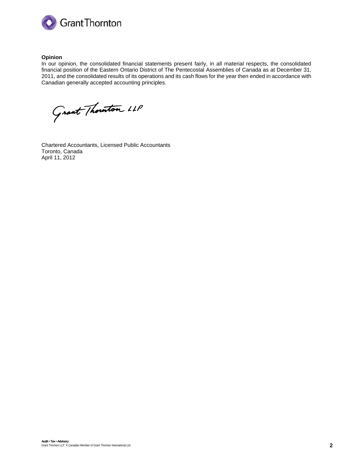

#### **Opinion**

In our opinion, the consolidated financial statements present fairly, in all material respects, the consolidated financial position of the Eastern Ontario District of The Pentecostal Assemblies of Canada as at December 31, 2011, and the consolidated results of its operations and its cash flows for the year then ended in accordance with Canadian generally accepted accounting principles.

Grant Thouton LLP

Chartered Accountants, Licensed Public Accountants Toronto, Canada April 11, 2012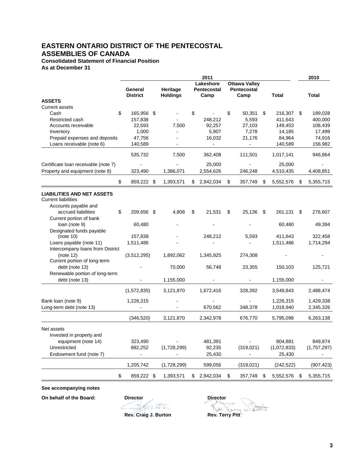**Consolidated Statement of Financial Position As at December 31**

| <b>Ottawa Valley</b><br>Lakeshore<br>Pentecostal<br>Heritage<br>Pentecostal<br>General<br><b>District</b><br><b>Holdings</b><br>Camp<br>Camp<br>Total<br>Total<br><b>ASSETS</b><br>Current assets<br>\$<br>\$<br>165,956 \$<br>\$<br>Cash<br>50,351<br>\$<br>216,307<br>\$<br>189,028<br>400,000<br>Restricted cash<br>157,838<br>248,212<br>5,593<br>411,643<br>27,103<br>149,453<br>Accounts receivable<br>22,593<br>7,500<br>92,257<br>108,439<br>1,000<br>5,907<br>7,278<br>14,185<br>17,499<br>Inventory<br>Prepaid expenses and deposits<br>47,756<br>16,032<br>21,176<br>84,964<br>74,916<br>Loans receivable (note 6)<br>140,589<br>140,589<br>156,982<br>$\overline{\phantom{a}}$<br>$\blacksquare$<br>946,864<br>535,732<br>7,500<br>362,408<br>111,501<br>1,017,141<br>25,000<br>Certificate Ioan receivable (note 7)<br>25,000<br>Property and equipment (note 8)<br>323,490<br>1,386,071<br>2,554,626<br>246,248<br>4,510,435<br>4,408,851<br>\$<br>\$<br>859,222 \$<br>1,393,571<br>\$<br>2,942,034<br>357,749<br>\$<br>5,552,576<br>5,355,715<br>S<br><b>LIABILITIES AND NET ASSETS</b><br><b>Current liabilities</b><br>Accounts payable and<br>accrued liabilities<br>\$<br>209,656 \$<br>4,808<br>21,531<br>25,136<br>\$<br>\$<br>- \$<br>261,131<br>276,607<br>S.<br>Current portion of bank<br>loan (note 9)<br>60,480<br>60,480<br>49,394<br>Designated funds payable<br>(note 10)<br>157,838<br>248.212<br>5,593<br>411.643<br>322,458<br>1,511,486<br>1,511,486<br>1,714,294<br>Loans payable (note 11)<br>Intercompany loans from District<br>(note 12)<br>(3,512,295)<br>1,892,062<br>1,345,925<br>274,308<br>Current portion of long-term<br>debt (note 13)<br>70,000<br>56,748<br>23,355<br>150,103<br>125,721<br>Renewable portion of long-term<br>debt (note 13)<br>1,155,000<br>1,155,000<br>$\blacksquare$<br>(1,572,835)<br>3,121,870<br>1,672,416<br>328,392<br>3,549,843<br>2,488,474<br>Bank loan (note 9)<br>1,226,315<br>1,226,315<br>1,429,338<br>Long-term debt (note 13)<br>1,018,940<br>670,562<br>348,378<br>2,345,326<br>2,342,978<br>676,770<br>5,795,098<br>(346.520)<br>3,121,870<br>6,263,138<br>Net assets<br>Invested in property and<br>849,874<br>equipment (note 14)<br>323,490<br>481,391<br>804,881<br>Unrestricted<br>(319, 021)<br>882,252<br>(1,728,299)<br>92,235<br>(1,072,833)<br>(1,757,297)<br>Endowment fund (note 7)<br>25,430<br>25,430<br>1,205,742<br>599,056<br>(1,728,299)<br>(319, 021)<br>(242, 522)<br>(907, 423)<br>\$<br>859,222 \$<br>1,393,571<br>2,942,034<br>\$<br>357,749<br>5,552,576<br>5,355,715<br>\$<br>\$<br>\$ |  |  | 2011 |  |  | 2010 |
|------------------------------------------------------------------------------------------------------------------------------------------------------------------------------------------------------------------------------------------------------------------------------------------------------------------------------------------------------------------------------------------------------------------------------------------------------------------------------------------------------------------------------------------------------------------------------------------------------------------------------------------------------------------------------------------------------------------------------------------------------------------------------------------------------------------------------------------------------------------------------------------------------------------------------------------------------------------------------------------------------------------------------------------------------------------------------------------------------------------------------------------------------------------------------------------------------------------------------------------------------------------------------------------------------------------------------------------------------------------------------------------------------------------------------------------------------------------------------------------------------------------------------------------------------------------------------------------------------------------------------------------------------------------------------------------------------------------------------------------------------------------------------------------------------------------------------------------------------------------------------------------------------------------------------------------------------------------------------------------------------------------------------------------------------------------------------------------------------------------------------------------------------------------------------------------------------------------------------------------------------------------------------------------------------------------------------------------------------------------------------------------------------------------------------------------------------------------------------------------------------------------------------------------------------------------------------------------------------|--|--|------|--|--|------|
|                                                                                                                                                                                                                                                                                                                                                                                                                                                                                                                                                                                                                                                                                                                                                                                                                                                                                                                                                                                                                                                                                                                                                                                                                                                                                                                                                                                                                                                                                                                                                                                                                                                                                                                                                                                                                                                                                                                                                                                                                                                                                                                                                                                                                                                                                                                                                                                                                                                                                                                                                                                                      |  |  |      |  |  |      |
|                                                                                                                                                                                                                                                                                                                                                                                                                                                                                                                                                                                                                                                                                                                                                                                                                                                                                                                                                                                                                                                                                                                                                                                                                                                                                                                                                                                                                                                                                                                                                                                                                                                                                                                                                                                                                                                                                                                                                                                                                                                                                                                                                                                                                                                                                                                                                                                                                                                                                                                                                                                                      |  |  |      |  |  |      |
|                                                                                                                                                                                                                                                                                                                                                                                                                                                                                                                                                                                                                                                                                                                                                                                                                                                                                                                                                                                                                                                                                                                                                                                                                                                                                                                                                                                                                                                                                                                                                                                                                                                                                                                                                                                                                                                                                                                                                                                                                                                                                                                                                                                                                                                                                                                                                                                                                                                                                                                                                                                                      |  |  |      |  |  |      |
|                                                                                                                                                                                                                                                                                                                                                                                                                                                                                                                                                                                                                                                                                                                                                                                                                                                                                                                                                                                                                                                                                                                                                                                                                                                                                                                                                                                                                                                                                                                                                                                                                                                                                                                                                                                                                                                                                                                                                                                                                                                                                                                                                                                                                                                                                                                                                                                                                                                                                                                                                                                                      |  |  |      |  |  |      |
|                                                                                                                                                                                                                                                                                                                                                                                                                                                                                                                                                                                                                                                                                                                                                                                                                                                                                                                                                                                                                                                                                                                                                                                                                                                                                                                                                                                                                                                                                                                                                                                                                                                                                                                                                                                                                                                                                                                                                                                                                                                                                                                                                                                                                                                                                                                                                                                                                                                                                                                                                                                                      |  |  |      |  |  |      |
|                                                                                                                                                                                                                                                                                                                                                                                                                                                                                                                                                                                                                                                                                                                                                                                                                                                                                                                                                                                                                                                                                                                                                                                                                                                                                                                                                                                                                                                                                                                                                                                                                                                                                                                                                                                                                                                                                                                                                                                                                                                                                                                                                                                                                                                                                                                                                                                                                                                                                                                                                                                                      |  |  |      |  |  |      |
|                                                                                                                                                                                                                                                                                                                                                                                                                                                                                                                                                                                                                                                                                                                                                                                                                                                                                                                                                                                                                                                                                                                                                                                                                                                                                                                                                                                                                                                                                                                                                                                                                                                                                                                                                                                                                                                                                                                                                                                                                                                                                                                                                                                                                                                                                                                                                                                                                                                                                                                                                                                                      |  |  |      |  |  |      |
|                                                                                                                                                                                                                                                                                                                                                                                                                                                                                                                                                                                                                                                                                                                                                                                                                                                                                                                                                                                                                                                                                                                                                                                                                                                                                                                                                                                                                                                                                                                                                                                                                                                                                                                                                                                                                                                                                                                                                                                                                                                                                                                                                                                                                                                                                                                                                                                                                                                                                                                                                                                                      |  |  |      |  |  |      |
|                                                                                                                                                                                                                                                                                                                                                                                                                                                                                                                                                                                                                                                                                                                                                                                                                                                                                                                                                                                                                                                                                                                                                                                                                                                                                                                                                                                                                                                                                                                                                                                                                                                                                                                                                                                                                                                                                                                                                                                                                                                                                                                                                                                                                                                                                                                                                                                                                                                                                                                                                                                                      |  |  |      |  |  |      |
|                                                                                                                                                                                                                                                                                                                                                                                                                                                                                                                                                                                                                                                                                                                                                                                                                                                                                                                                                                                                                                                                                                                                                                                                                                                                                                                                                                                                                                                                                                                                                                                                                                                                                                                                                                                                                                                                                                                                                                                                                                                                                                                                                                                                                                                                                                                                                                                                                                                                                                                                                                                                      |  |  |      |  |  |      |
|                                                                                                                                                                                                                                                                                                                                                                                                                                                                                                                                                                                                                                                                                                                                                                                                                                                                                                                                                                                                                                                                                                                                                                                                                                                                                                                                                                                                                                                                                                                                                                                                                                                                                                                                                                                                                                                                                                                                                                                                                                                                                                                                                                                                                                                                                                                                                                                                                                                                                                                                                                                                      |  |  |      |  |  |      |
|                                                                                                                                                                                                                                                                                                                                                                                                                                                                                                                                                                                                                                                                                                                                                                                                                                                                                                                                                                                                                                                                                                                                                                                                                                                                                                                                                                                                                                                                                                                                                                                                                                                                                                                                                                                                                                                                                                                                                                                                                                                                                                                                                                                                                                                                                                                                                                                                                                                                                                                                                                                                      |  |  |      |  |  |      |
|                                                                                                                                                                                                                                                                                                                                                                                                                                                                                                                                                                                                                                                                                                                                                                                                                                                                                                                                                                                                                                                                                                                                                                                                                                                                                                                                                                                                                                                                                                                                                                                                                                                                                                                                                                                                                                                                                                                                                                                                                                                                                                                                                                                                                                                                                                                                                                                                                                                                                                                                                                                                      |  |  |      |  |  |      |
|                                                                                                                                                                                                                                                                                                                                                                                                                                                                                                                                                                                                                                                                                                                                                                                                                                                                                                                                                                                                                                                                                                                                                                                                                                                                                                                                                                                                                                                                                                                                                                                                                                                                                                                                                                                                                                                                                                                                                                                                                                                                                                                                                                                                                                                                                                                                                                                                                                                                                                                                                                                                      |  |  |      |  |  |      |
|                                                                                                                                                                                                                                                                                                                                                                                                                                                                                                                                                                                                                                                                                                                                                                                                                                                                                                                                                                                                                                                                                                                                                                                                                                                                                                                                                                                                                                                                                                                                                                                                                                                                                                                                                                                                                                                                                                                                                                                                                                                                                                                                                                                                                                                                                                                                                                                                                                                                                                                                                                                                      |  |  |      |  |  |      |
|                                                                                                                                                                                                                                                                                                                                                                                                                                                                                                                                                                                                                                                                                                                                                                                                                                                                                                                                                                                                                                                                                                                                                                                                                                                                                                                                                                                                                                                                                                                                                                                                                                                                                                                                                                                                                                                                                                                                                                                                                                                                                                                                                                                                                                                                                                                                                                                                                                                                                                                                                                                                      |  |  |      |  |  |      |
|                                                                                                                                                                                                                                                                                                                                                                                                                                                                                                                                                                                                                                                                                                                                                                                                                                                                                                                                                                                                                                                                                                                                                                                                                                                                                                                                                                                                                                                                                                                                                                                                                                                                                                                                                                                                                                                                                                                                                                                                                                                                                                                                                                                                                                                                                                                                                                                                                                                                                                                                                                                                      |  |  |      |  |  |      |
|                                                                                                                                                                                                                                                                                                                                                                                                                                                                                                                                                                                                                                                                                                                                                                                                                                                                                                                                                                                                                                                                                                                                                                                                                                                                                                                                                                                                                                                                                                                                                                                                                                                                                                                                                                                                                                                                                                                                                                                                                                                                                                                                                                                                                                                                                                                                                                                                                                                                                                                                                                                                      |  |  |      |  |  |      |
|                                                                                                                                                                                                                                                                                                                                                                                                                                                                                                                                                                                                                                                                                                                                                                                                                                                                                                                                                                                                                                                                                                                                                                                                                                                                                                                                                                                                                                                                                                                                                                                                                                                                                                                                                                                                                                                                                                                                                                                                                                                                                                                                                                                                                                                                                                                                                                                                                                                                                                                                                                                                      |  |  |      |  |  |      |
|                                                                                                                                                                                                                                                                                                                                                                                                                                                                                                                                                                                                                                                                                                                                                                                                                                                                                                                                                                                                                                                                                                                                                                                                                                                                                                                                                                                                                                                                                                                                                                                                                                                                                                                                                                                                                                                                                                                                                                                                                                                                                                                                                                                                                                                                                                                                                                                                                                                                                                                                                                                                      |  |  |      |  |  |      |

**See accompanying notes**

**On behalf of the Board:** Director Director Director

Shirton

 $\bigoplus_{i=1}^n$  $\omega$ . **Rev. Craig J. Burton Rev. Terry Pitt**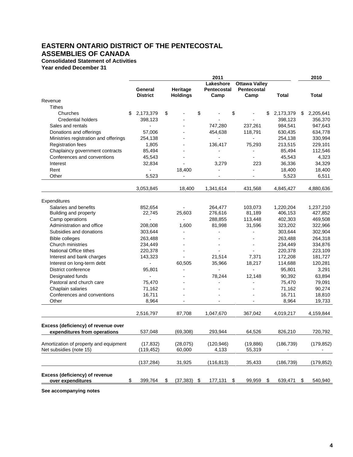## **Consolidated Statement of Activities**

**Year ended December 31**

|                                                                   |                            |                             |          | 2011                             |                                             |                 |    | 2010       |
|-------------------------------------------------------------------|----------------------------|-----------------------------|----------|----------------------------------|---------------------------------------------|-----------------|----|------------|
|                                                                   | General<br><b>District</b> | Heritage<br><b>Holdings</b> |          | Lakeshore<br>Pentecostal<br>Camp | <b>Ottawa Valley</b><br>Pentecostal<br>Camp | Total           |    | Total      |
| Revenue                                                           |                            |                             |          |                                  |                                             |                 |    |            |
| <b>Tithes</b>                                                     |                            |                             |          |                                  |                                             |                 |    |            |
| Churches                                                          | \$<br>2,173,379            | \$                          | \$       |                                  | \$                                          | \$<br>2,173,379 | \$ | 2,205,641  |
| <b>Credential holders</b>                                         | 398,123                    |                             |          |                                  |                                             | 398,123         |    | 356,370    |
| Sales and rentals                                                 | $\overline{a}$             |                             |          | 747,280                          | 237,261                                     | 984,541         |    | 947,643    |
| Donations and offerings                                           | 57,006                     |                             |          | 454,638                          | 118,791                                     | 630,435         |    | 634,778    |
| Ministries registration and offerings                             | 254,138                    |                             |          |                                  |                                             | 254,138         |    | 330,994    |
| <b>Registration fees</b>                                          | 1,805                      |                             |          | 136,417                          | 75,293                                      | 213,515         |    | 229,101    |
| Chaplaincy government contracts                                   | 85,494                     |                             |          |                                  |                                             | 85,494          |    | 112,546    |
| Conferences and conventions                                       | 45,543                     |                             |          |                                  |                                             | 45,543          |    | 4,323      |
| Interest                                                          | 32,834                     |                             |          | 3,279                            | 223                                         | 36,336          |    | 34,329     |
| Rent                                                              |                            | 18,400                      |          |                                  |                                             | 18,400          |    | 18,400     |
| Other                                                             | 5,523                      |                             |          |                                  |                                             | 5,523           |    | 6,511      |
|                                                                   | 3,053,845                  | 18,400                      |          | 1,341,614                        | 431,568                                     | 4,845,427       |    | 4,880,636  |
| Expenditures                                                      |                            |                             |          |                                  |                                             |                 |    |            |
| Salaries and benefits                                             | 852,654                    |                             |          | 264,477                          | 103,073                                     | 1,220,204       |    | 1,237,210  |
| Building and property                                             | 22,745                     | 25,603                      |          | 276,616                          | 81,189                                      | 406,153         |    | 427,852    |
| Camp operations                                                   |                            |                             |          | 288,855                          | 113,448                                     | 402,303         |    | 469,508    |
| Administration and office                                         | 208,008                    | 1,600                       |          | 81,998                           | 31,596                                      | 323,202         |    | 322,966    |
| Subsidies and donations                                           | 303,644                    |                             |          |                                  |                                             | 303,644         |    | 302,904    |
| <b>Bible colleges</b>                                             | 263,488                    |                             |          |                                  |                                             | 263,488         |    | 264,318    |
| Church ministries                                                 | 234,449                    |                             |          |                                  |                                             | 234,449         |    | 334,876    |
| National Office tithes                                            | 220,378                    |                             |          |                                  |                                             | 220,378         |    | 223,109    |
| Interest and bank charges                                         | 143,323                    |                             |          | 21,514                           | 7,371                                       | 172,208         |    | 181,727    |
| Interest on long-term debt                                        |                            | 60,505                      |          | 35,966                           | 18,217                                      | 114,688         |    | 120,281    |
| District conference                                               | 95,801                     | L,                          |          | $\overline{a}$                   | $\overline{a}$                              | 95,801          |    | 3,291      |
| Designated funds                                                  | $\overline{a}$             |                             |          | 78,244                           | 12,148                                      | 90,392          |    | 63,894     |
| Pastoral and church care                                          | 75,470                     |                             |          |                                  |                                             | 75,470          |    | 79,091     |
| Chaplain salaries                                                 | 71,162                     | $\overline{a}$              |          |                                  |                                             | 71,162          |    | 90,274     |
| Conferences and conventions                                       | 16,711                     |                             |          |                                  |                                             | 16,711          |    | 18,810     |
| Other                                                             | 8,964                      |                             |          |                                  |                                             | 8,964           |    | 19,733     |
|                                                                   | 2,516,797                  | 87,708                      |          | 1,047,670                        | 367,042                                     | 4,019,217       |    | 4,159,844  |
| Excess (deficiency) of revenue over                               |                            |                             |          |                                  |                                             |                 |    |            |
| expenditures from operations                                      | 537,048                    | (69, 308)                   |          | 293,944                          | 64,526                                      | 826,210         |    | 720,792    |
| Amortization of property and equipment<br>Net subsidies (note 15) | (17, 832)<br>(119, 452)    | (28,075)<br>60,000          |          | (120, 946)<br>4,133              | (19, 886)<br>55,319                         | (186, 739)      |    | (179, 852) |
|                                                                   | (137, 284)                 | 31,925                      |          | (116, 813)                       | 35,433                                      | (186, 739)      |    | (179,852)  |
| Excess (deficiency) of revenue<br>over expenditures               | \$<br>399,764              | \$<br>(37, 383)             | <u>s</u> | $177,131$ \$                     | $99,959$ \$                                 | 639,471         | S  | 540,940    |
|                                                                   |                            |                             |          |                                  |                                             |                 |    |            |

**See accompanying notes**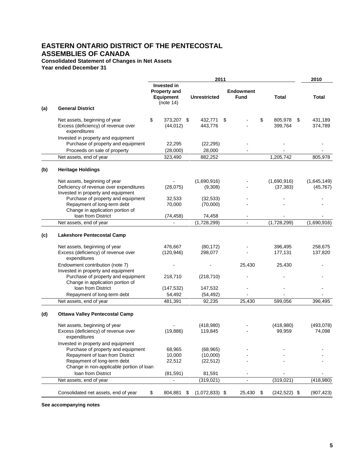**Consolidated Statement of Changes in Net Assets**

**Year ended December 31**

|     |                                                                                                                                             |                                                                            | 2011                   |                                 |                          |      | 2010                     |
|-----|---------------------------------------------------------------------------------------------------------------------------------------------|----------------------------------------------------------------------------|------------------------|---------------------------------|--------------------------|------|--------------------------|
|     |                                                                                                                                             | <b>Invested in</b><br><b>Property and</b><br><b>Equipment</b><br>(note 14) | <b>Unrestricted</b>    | <b>Endowment</b><br><b>Fund</b> | <b>Total</b>             |      | Total                    |
| (a) | <b>General District</b>                                                                                                                     |                                                                            |                        |                                 |                          |      |                          |
|     | Net assets, beginning of year<br>Excess (deficiency) of revenue over<br>expenditures                                                        | \$<br>373,207 \$<br>(44, 012)                                              | 432,771<br>443,776     | \$                              | \$<br>805,978<br>399,764 | - \$ | 431,189<br>374,789       |
|     | Invested in property and equipment<br>Purchase of property and equipment                                                                    | 22,295                                                                     | (22, 295)              |                                 |                          |      |                          |
|     | Proceeds on sale of property<br>Net assets, end of year                                                                                     | (28,000)<br>323,490                                                        | 28,000<br>882,252      |                                 | 1,205,742                |      | 805,978                  |
|     |                                                                                                                                             |                                                                            |                        |                                 |                          |      |                          |
| (b) | <b>Heritage Holdings</b>                                                                                                                    |                                                                            |                        |                                 |                          |      |                          |
|     | Net assets, beginning of year<br>Deficiency of revenue over expenditures                                                                    | (28,075)                                                                   | (1,690,916)<br>(9,308) |                                 | (1,690,916)<br>(37, 383) |      | (1,645,149)<br>(45, 767) |
|     | Invested in property and equipment<br>Purchase of property and equipment<br>Repayment of long-term debt<br>Change in application portion of | 32,533<br>70,000                                                           | (32, 533)<br>(70,000)  |                                 |                          |      |                          |
|     | loan from District                                                                                                                          | (74, 458)                                                                  | 74,458                 |                                 |                          |      |                          |
|     | Net assets, end of year                                                                                                                     |                                                                            | (1,728,299)            | $\overline{\phantom{a}}$        | (1,728,299)              |      | (1,690,916)              |
| (c) | <b>Lakeshore Pentecostal Camp</b>                                                                                                           |                                                                            |                        |                                 |                          |      |                          |
|     | Net assets, beginning of year<br>Excess (deficiency) of revenue over<br>expenditures                                                        | 476,667<br>(120, 946)                                                      | (80, 172)<br>298,077   |                                 | 396,495<br>177,131       |      | 258,675<br>137,820       |
|     | Endowment contribution (note 7)<br>Invested in property and equipment                                                                       |                                                                            |                        | 25,430                          | 25,430                   |      |                          |
|     | Purchase of property and equipment<br>Change in application portion of                                                                      | 218,710                                                                    | (218, 710)             |                                 |                          |      |                          |
|     | loan from District                                                                                                                          | (147, 532)                                                                 | 147,532                |                                 |                          |      |                          |
|     | Repayment of long-term debt                                                                                                                 | 54,492                                                                     | (54, 492)              |                                 |                          |      |                          |
|     | Net assets, end of year                                                                                                                     | 481,391                                                                    | 92,235                 | 25,430                          | 599,056                  |      | 396,495                  |
| (d) | <b>Ottawa Valley Pentecostal Camp</b>                                                                                                       |                                                                            |                        |                                 |                          |      |                          |
|     | Net assets, beginning of year<br>Excess (deficiency) of revenue over<br>expenditures                                                        | (19, 886)                                                                  | (418,980)<br>119,845   |                                 | (418,980)<br>99,959      |      | (493, 078)<br>74,098     |
|     | Invested in property and equipment<br>Purchase of property and equipment                                                                    | 68,965                                                                     | (68, 965)              |                                 |                          |      |                          |
|     | Repayment of loan from District<br>Repayment of long-term debt<br>Change in non-applicable portion of loan                                  | 10,000<br>22,512                                                           | (10,000)<br>(22, 512)  |                                 |                          |      |                          |
|     | loan from District                                                                                                                          | (81, 591)                                                                  | 81,591                 |                                 |                          |      |                          |
|     | Net assets, end of year                                                                                                                     |                                                                            | (319, 021)             |                                 | (319, 021)               |      | (418,980)                |
|     | Consolidated net assets, end of year                                                                                                        | \$<br>804,881                                                              | \$<br>$(1,072,833)$ \$ | 25,430                          | \$<br>$(242, 522)$ \$    |      | (907, 423)               |

**See accompanying notes**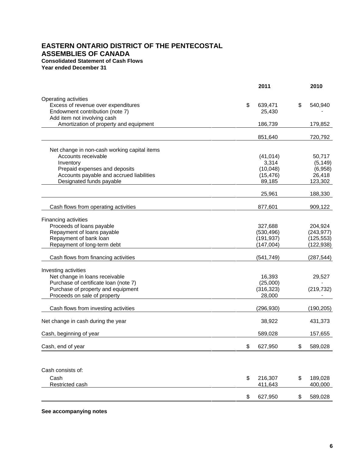# **EASTERN ONTARIO DISTRICT OF THE PENTECOSTAL ASSEMBLIES OF CANADA Consolidated Statement of Cash Flows**

**Year ended December 31**

|                                              | 2011          |           | 2010       |
|----------------------------------------------|---------------|-----------|------------|
| Operating activities                         |               |           |            |
| Excess of revenue over expenditures          | \$<br>639,471 | \$        | 540,940    |
| Endowment contribution (note 7)              |               | 25,430    |            |
| Add item not involving cash                  |               |           |            |
| Amortization of property and equipment       | 186,739       |           | 179,852    |
|                                              |               |           |            |
|                                              | 851,640       |           | 720,792    |
| Net change in non-cash working capital items |               |           |            |
| Accounts receivable                          |               | (41, 014) | 50,717     |
| Inventory                                    |               | 3,314     | (5, 149)   |
| Prepaid expenses and deposits                |               | (10,048)  | (6,958)    |
| Accounts payable and accrued liabilities     |               | (15, 476) | 26,418     |
| Designated funds payable                     |               | 89,185    | 123,302    |
|                                              |               |           |            |
|                                              |               | 25,961    | 188,330    |
| Cash flows from operating activities         | 877,601       |           | 909,122    |
| Financing activities                         |               |           |            |
| Proceeds of loans payable                    | 327,688       |           | 204,924    |
| Repayment of loans payable                   | (530, 496)    |           | (243, 977) |
| Repayment of bank loan                       | (191, 937)    |           | (125, 553) |
| Repayment of long-term debt                  | (147,004)     |           | (122, 938) |
|                                              |               |           |            |
| Cash flows from financing activities         | (541, 749)    |           | (287, 544) |
| Investing activities                         |               |           |            |
| Net change in loans receivable               |               | 16,393    | 29,527     |
| Purchase of certificate loan (note 7)        |               | (25,000)  |            |
| Purchase of property and equipment           | (316, 323)    |           | (219, 732) |
| Proceeds on sale of property                 |               | 28,000    |            |
|                                              |               |           |            |
| Cash flows from investing activities         | (296, 930)    |           | (190, 205) |
| Net change in cash during the year           |               | 38,922    | 431,373    |
|                                              |               |           |            |
| Cash, beginning of year                      | 589,028       |           | 157,655    |
| Cash, end of year                            | \$<br>627,950 | \$        | 589,028    |
|                                              |               |           |            |
| Cash consists of:                            |               |           |            |
| Cash                                         | \$<br>216,307 | \$        | 189,028    |
| Restricted cash                              | 411,643       |           | 400,000    |
|                                              | \$<br>627,950 | \$        | 589,028    |

**See accompanying notes**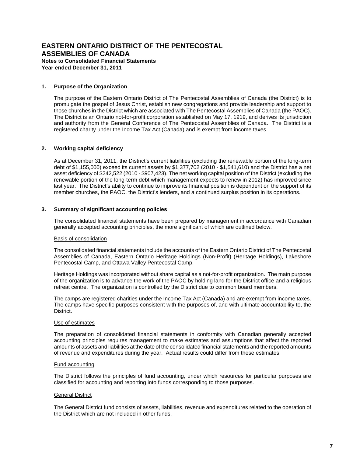**Year ended December 31, 2011**

#### **1. Purpose of the Organization**

The purpose of the Eastern Ontario District of The Pentecostal Assemblies of Canada (the District) is to promulgate the gospel of Jesus Christ, establish new congregations and provide leadership and support to those churches in the District which are associated with The Pentecostal Assemblies of Canada (the PAOC). The District is an Ontario not-for-profit corporation established on May 17, 1919, and derives its jurisdiction and authority from the General Conference of The Pentecostal Assemblies of Canada. The District is a registered charity under the Income Tax Act (Canada) and is exempt from income taxes.

#### **2. Working capital deficiency**

As at December 31, 2011, the District's current liabilities (excluding the renewable portion of the long-term debt of \$1,155,000) exceed its current assets by \$1,377,702 (2010 - \$1,541,610) and the District has a net asset deficiency of \$242,522 (2010 - \$907,423). The net working capital position of the District (excluding the renewable portion of the long-term debt which management expects to renew in 2012) has improved since last year. The District's ability to continue to improve its financial position is dependent on the support of its member churches, the PAOC, the District's lenders, and a continued surplus position in its operations.

#### **3. Summary of significant accounting policies**

The consolidated financial statements have been prepared by management in accordance with Canadian generally accepted accounting principles, the more significant of which are outlined below.

#### Basis of consolidation

The consolidated financial statements include the accounts of the Eastern Ontario District of The Pentecostal Assemblies of Canada, Eastern Ontario Heritage Holdings (Non-Profit) (Heritage Holdings), Lakeshore Pentecostal Camp, and Ottawa Valley Pentecostal Camp.

Heritage Holdings was incorporated without share capital as a not-for-profit organization. The main purpose of the organization is to advance the work of the PAOC by holding land for the District office and a religious retreat centre. The organization is controlled by the District due to common board members.

The camps are registered charities under the Income Tax Act (Canada) and are exempt from income taxes. The camps have specific purposes consistent with the purposes of, and with ultimate accountability to, the District.

#### Use of estimates

The preparation of consolidated financial statements in conformity with Canadian generally accepted accounting principles requires management to make estimates and assumptions that affect the reported amounts of assets and liabilities at the date of the consolidated financial statements and the reported amounts of revenue and expenditures during the year. Actual results could differ from these estimates.

#### Fund accounting

The District follows the principles of fund accounting, under which resources for particular purposes are classified for accounting and reporting into funds corresponding to those purposes.

#### General District

The General District fund consists of assets, liabilities, revenue and expenditures related to the operation of the District which are not included in other funds.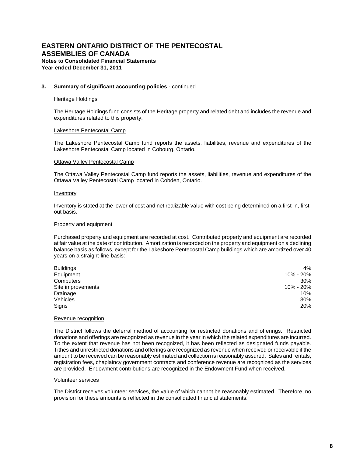#### **3. Summary of significant accounting policies** - continued

#### Heritage Holdings

The Heritage Holdings fund consists of the Heritage property and related debt and includes the revenue and expenditures related to this property.

#### Lakeshore Pentecostal Camp

The Lakeshore Pentecostal Camp fund reports the assets, liabilities, revenue and expenditures of the Lakeshore Pentecostal Camp located in Cobourg, Ontario.

#### Ottawa Valley Pentecostal Camp

The Ottawa Valley Pentecostal Camp fund reports the assets, liabilities, revenue and expenditures of the Ottawa Valley Pentecostal Camp located in Cobden, Ontario.

#### Inventory

Inventory is stated at the lower of cost and net realizable value with cost being determined on a first-in, firstout basis.

#### Property and equipment

Purchased property and equipment are recorded at cost. Contributed property and equipment are recorded at fair value at the date of contribution. Amortization is recorded on the property and equipment on a declining balance basis as follows, except for the Lakeshore Pentecostal Camp buildings which are amortized over 40 years on a straight-line basis:

| <b>Buildings</b>  | 4%        |
|-------------------|-----------|
| Equipment         | 10% - 20% |
| Computers         | 30%       |
| Site improvements | 10% - 20% |
| Drainage          | 10%       |
| Vehicles          | 30%       |
| Signs             | 20%       |

#### Revenue recognition

The District follows the deferral method of accounting for restricted donations and offerings. Restricted donations and offerings are recognized as revenue in the year in which the related expenditures are incurred. To the extent that revenue has not been recognized, it has been reflected as designated funds payable. Tithes and unrestricted donations and offerings are recognized as revenue when received or receivable if the amount to be received can be reasonably estimated and collection is reasonably assured. Sales and rentals, registration fees, chaplaincy government contracts and conference revenue are recognized as the services are provided. Endowment contributions are recognized in the Endowment Fund when received.

#### Volunteer services

The District receives volunteer services, the value of which cannot be reasonably estimated. Therefore, no provision for these amounts is reflected in the consolidated financial statements.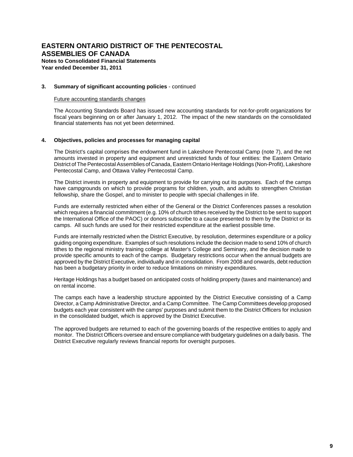#### **3. Summary of significant accounting policies** - continued

#### Future accounting standards changes

The Accounting Standards Board has issued new accounting standards for not-for-profit organizations for fiscal years beginning on or after January 1, 2012. The impact of the new standards on the consolidated financial statements has not yet been determined.

#### **4. Objectives, policies and processes for managing capital**

The District's capital comprises the endowment fund in Lakeshore Pentecostal Camp (note 7), and the net amounts invested in property and equipment and unrestricted funds of four entities: the Eastern Ontario District of The Pentecostal Assemblies of Canada, Eastern Ontario Heritage Holdings (Non-Profit), Lakeshore Pentecostal Camp, and Ottawa Valley Pentecostal Camp.

The District invests in property and equipment to provide for carrying out its purposes. Each of the camps have campgrounds on which to provide programs for children, youth, and adults to strengthen Christian fellowship, share the Gospel, and to minister to people with special challenges in life.

Funds are externally restricted when either of the General or the District Conferences passes a resolution which requires a financial commitment (e.g. 10% of church tithes received by the District to be sent to support the International Office of the PAOC) or donors subscribe to a cause presented to them by the District or its camps. All such funds are used for their restricted expenditure at the earliest possible time.

Funds are internally restricted when the District Executive, by resolution, determines expenditure or a policy guiding ongoing expenditure. Examples of such resolutions include the decision made to send 10% of church tithes to the regional ministry training college at Master's College and Seminary, and the decision made to provide specific amounts to each of the camps. Budgetary restrictions occur when the annual budgets are approved by the District Executive, individually and in consolidation. From 2008 and onwards, debt reduction has been a budgetary priority in order to reduce limitations on ministry expenditures.

Heritage Holdings has a budget based on anticipated costs of holding property (taxes and maintenance) and on rental income.

The camps each have a leadership structure appointed by the District Executive consisting of a Camp Director, a Camp Administrative Director, and a Camp Committee. The Camp Committees develop proposed budgets each year consistent with the camps' purposes and submit them to the District Officers for inclusion in the consolidated budget, which is approved by the District Executive.

The approved budgets are returned to each of the governing boards of the respective entities to apply and monitor. The District Officers oversee and ensure compliance with budgetary guidelines on a daily basis. The District Executive regularly reviews financial reports for oversight purposes.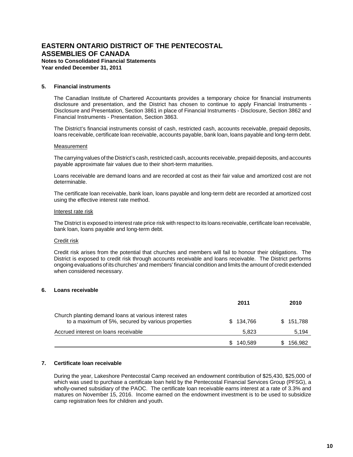**Notes to Consolidated Financial Statements Year ended December 31, 2011**

#### **5. Financial instruments**

The Canadian Institute of Chartered Accountants provides a temporary choice for financial instruments disclosure and presentation, and the District has chosen to continue to apply Financial Instruments - Disclosure and Presentation, Section 3861 in place of Financial Instruments - Disclosure, Section 3862 and Financial Instruments - Presentation, Section 3863.

The District's financial instruments consist of cash, restricted cash, accounts receivable, prepaid deposits, loans receivable, certificate loan receivable, accounts payable, bank loan, loans payable and long-term debt.

#### Measurement

The carrying values of the District's cash, restricted cash, accounts receivable, prepaid deposits, and accounts payable approximate fair values due to their short-term maturities.

Loans receivable are demand loans and are recorded at cost as their fair value and amortized cost are not determinable.

The certificate loan receivable, bank loan, loans payable and long-term debt are recorded at amortized cost using the effective interest rate method.

#### Interest rate risk

The District is exposed to interest rate price risk with respect to its loans receivable, certificate loan receivable, bank loan, loans payable and long-term debt.

#### Credit risk

Credit risk arises from the potential that churches and members will fail to honour their obligations. The District is exposed to credit risk through accounts receivable and loans receivable. The District performs ongoing evaluations of its churches' and members' financial condition and limits the amount of credit extended when considered necessary.

#### **6. Loans receivable**

|                                                                                                             | 2011      | 2010      |
|-------------------------------------------------------------------------------------------------------------|-----------|-----------|
| Church planting demand loans at various interest rates<br>to a maximum of 5%, secured by various properties | \$134,766 | \$151,788 |
| Accrued interest on loans receivable                                                                        | 5.823     | 5,194     |
|                                                                                                             | 140,589   | 156,982   |

### **7. Certificate loan receivable**

During the year, Lakeshore Pentecostal Camp received an endowment contribution of \$25,430, \$25,000 of which was used to purchase a certificate loan held by the Pentecostal Financial Services Group (PFSG), a wholly-owned subsidiary of the PAOC. The certificate loan receivable earns interest at a rate of 3.3% and matures on November 15, 2016. Income earned on the endowment investment is to be used to subsidize camp registration fees for children and youth.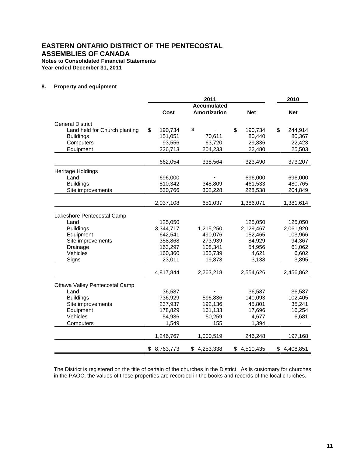**Year ended December 31, 2011**

#### **8. Property and equipment**

|                                |                 | 2011                                      |               | 2010            |
|--------------------------------|-----------------|-------------------------------------------|---------------|-----------------|
|                                | Cost            | <b>Accumulated</b><br><b>Amortization</b> | <b>Net</b>    | <b>Net</b>      |
| <b>General District</b>        |                 |                                           |               |                 |
| Land held for Church planting  | \$<br>190,734   | \$                                        | \$<br>190,734 | \$<br>244,914   |
| <b>Buildings</b>               | 151,051         | 70,611                                    | 80,440        | 80,367          |
| Computers                      | 93,556          | 63,720                                    | 29,836        | 22,423          |
| Equipment                      | 226,713         | 204,233                                   | 22,480        | 25,503          |
|                                | 662,054         | 338,564                                   | 323,490       | 373,207         |
| Heritage Holdings              |                 |                                           |               |                 |
| Land                           | 696,000         |                                           | 696,000       | 696,000         |
| <b>Buildings</b>               | 810,342         | 348,809                                   | 461,533       | 480,765         |
| Site improvements              | 530,766         | 302,228                                   | 228,538       | 204,849         |
|                                | 2,037,108       | 651,037                                   | 1,386,071     | 1,381,614       |
| Lakeshore Pentecostal Camp     |                 |                                           |               |                 |
| Land                           | 125,050         |                                           | 125,050       | 125,050         |
| <b>Buildings</b>               | 3,344,717       | 1,215,250                                 | 2,129,467     | 2,061,920       |
| Equipment                      | 642,541         | 490,076                                   | 152,465       | 103,966         |
| Site improvements              | 358,868         | 273,939                                   | 84,929        | 94,367          |
| Drainage                       | 163,297         | 108,341                                   | 54,956        | 61,062          |
| Vehicles                       | 160,360         | 155,739                                   | 4,621         | 6,602           |
| Signs                          | 23,011          | 19,873                                    | 3,138         | 3,895           |
|                                | 4,817,844       | 2,263,218                                 | 2,554,626     | 2,456,862       |
| Ottawa Valley Pentecostal Camp |                 |                                           |               |                 |
| Land                           | 36,587          |                                           | 36,587        | 36,587          |
| <b>Buildings</b>               | 736,929         | 596,836                                   | 140,093       | 102,405         |
| Site improvements              | 237,937         | 192,136                                   | 45,801        | 35,241          |
| Equipment                      | 178,829         | 161,133                                   | 17,696        | 16,254          |
| Vehicles                       | 54,936          | 50,259                                    | 4,677         | 6,681           |
| Computers                      | 1,549           | 155                                       | 1,394         |                 |
|                                | 1,246,767       | 1,000,519                                 | 246,248       | 197,168         |
|                                | \$<br>8,763,773 | 4,253,338<br>\$                           | \$4,510,435   | \$<br>4,408,851 |

The District is registered on the title of certain of the churches in the District. As is customary for churches in the PAOC, the values of these properties are recorded in the books and records of the local churches.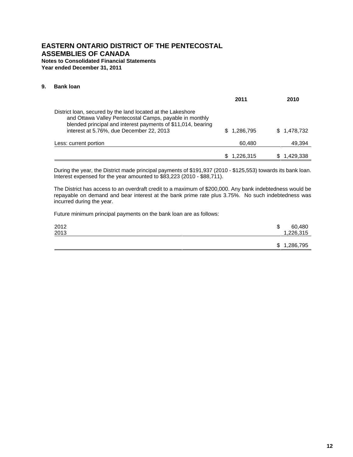#### **9. Bank loan**

|                                                                                                                                                                                                                                    | 2011      | 2010        |
|------------------------------------------------------------------------------------------------------------------------------------------------------------------------------------------------------------------------------------|-----------|-------------|
| District Ioan, secured by the land located at the Lakeshore<br>and Ottawa Valley Pentecostal Camps, payable in monthly<br>blended principal and interest payments of \$11,014, bearing<br>interest at 5.76%, due December 22, 2013 | 1,286,795 | \$1,478,732 |
| Less: current portion                                                                                                                                                                                                              | 60,480    | 49,394      |
|                                                                                                                                                                                                                                    | 1,226,315 | .429,338    |

During the year, the District made principal payments of \$191,937 (2010 - \$125,553) towards its bank loan. Interest expensed for the year amounted to \$83,223 (2010 - \$88,711).

The District has access to an overdraft credit to a maximum of \$200,000. Any bank indebtedness would be repayable on demand and bear interest at the bank prime rate plus 3.75%. No such indebtedness was incurred during the year.

Future minimum principal payments on the bank loan are as follows:

| 2012 | \$<br>60,480 |
|------|--------------|
| 2013 | 1,226,315    |
|      | \$1,286,795  |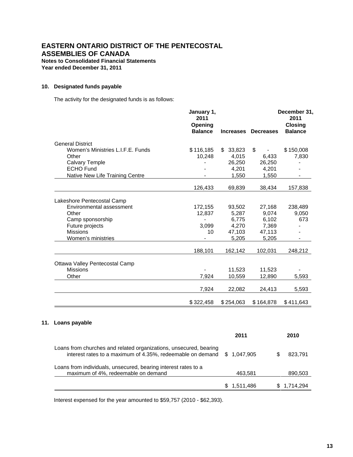**Year ended December 31, 2011**

#### **10. Designated funds payable**

**11.** 

The activity for the designated funds is as follows:

|                                                                                                                                 | January 1,<br>2011<br>Opening<br><b>Balance</b> | <b>Increases</b> | <b>Decreases</b> | December 31,<br>2011<br><b>Closing</b><br><b>Balance</b> |
|---------------------------------------------------------------------------------------------------------------------------------|-------------------------------------------------|------------------|------------------|----------------------------------------------------------|
| <b>General District</b>                                                                                                         |                                                 |                  |                  |                                                          |
| Women's Ministries L.I.F.E. Funds                                                                                               | \$116,185                                       | \$33,823         | \$               | \$150,008                                                |
| Other                                                                                                                           | 10,248                                          | 4,015            | 6,433            | 7,830                                                    |
| <b>Calvary Temple</b>                                                                                                           |                                                 | 26,250           | 26,250           |                                                          |
| <b>ECHO Fund</b>                                                                                                                |                                                 | 4,201            | 4,201            |                                                          |
| Native New Life Training Centre                                                                                                 |                                                 | 1,550            | 1,550            | $\overline{\phantom{a}}$                                 |
|                                                                                                                                 | 126,433                                         | 69,839           | 38,434           | 157,838                                                  |
| Lakeshore Pentecostal Camp                                                                                                      |                                                 |                  |                  |                                                          |
| Environmental assessment                                                                                                        | 172,155                                         | 93,502           | 27,168           | 238,489                                                  |
| Other                                                                                                                           | 12,837                                          | 5,287            | 9,074            | 9,050                                                    |
| Camp sponsorship                                                                                                                | $\blacksquare$                                  | 6,775            | 6,102            | 673                                                      |
| Future projects                                                                                                                 | 3,099                                           | 4,270            | 7,369            | $\overline{\phantom{a}}$                                 |
| <b>Missions</b>                                                                                                                 | 10                                              | 47,103           | 47,113           |                                                          |
| Women's ministries                                                                                                              |                                                 | 5,205            | 5,205            | $\blacksquare$                                           |
|                                                                                                                                 | 188,101                                         | 162,142          | 102,031          | 248,212                                                  |
| Ottawa Valley Pentecostal Camp                                                                                                  |                                                 |                  |                  |                                                          |
| <b>Missions</b>                                                                                                                 |                                                 | 11,523           | 11,523           |                                                          |
| Other                                                                                                                           | 7,924                                           | 10,559           | 12,890           | 5,593                                                    |
|                                                                                                                                 | 7,924                                           | 22,082           | 24,413           | 5,593                                                    |
|                                                                                                                                 | \$322,458                                       | \$254,063        | \$164,878        | \$411,643                                                |
| Loans payable                                                                                                                   |                                                 |                  |                  |                                                          |
|                                                                                                                                 |                                                 | 2011             |                  | 2010                                                     |
| Loans from churches and related organizations, unsecured, bearing<br>interest rates to a maximum of 4.35%, redeemable on demand |                                                 | \$1,047,905      | \$               | 823,791                                                  |
| Loans from individuals, unsecured, bearing interest rates to a                                                                  |                                                 |                  |                  |                                                          |
| maximum of 4%, redeemable on demand                                                                                             |                                                 | 463,581          |                  | 890,503                                                  |

Interest expensed for the year amounted to \$59,757 (2010 - \$62,393).

\$ 1,511,486 \$ 1,714,294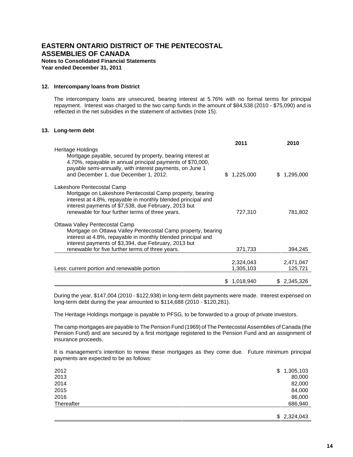**Year ended December 31, 2011**

#### **12. Intercompany loans from District**

The intercompany loans are unsecured, bearing interest at 5.76% with no formal terms for principal repayment. Interest was charged to the two camp funds in the amount of \$84,538 (2010 - \$75,090) and is reflected in the net subsidies in the statement of activities (note 15).

#### **13. Long-term debt**

|                                                                                                                                                                                                                        |     | 2011                   |   | 2010                 |
|------------------------------------------------------------------------------------------------------------------------------------------------------------------------------------------------------------------------|-----|------------------------|---|----------------------|
| Heritage Holdings                                                                                                                                                                                                      |     |                        |   |                      |
| Mortgage payable, secured by property, bearing interest at<br>4.70%, repayable in annual principal payments of \$70,000,<br>payable semi-annually, with interest payments, on June 1                                   |     |                        |   |                      |
| and December 1, due December 1, 2012.                                                                                                                                                                                  | \$. | 1,225,000              | S | 1,295,000            |
| Lakeshore Pentecostal Camp<br>Mortgage on Lakeshore Pentecostal Camp property, bearing<br>interest at 4.8%, repayable in monthly blended principal and<br>interest payments of \$7,538, due February, 2013 but         |     |                        |   |                      |
| renewable for four further terms of three years.                                                                                                                                                                       |     | 727,310                |   | 781,802              |
| Ottawa Valley Pentecostal Camp<br>Mortgage on Ottawa Valley Pentecostal Camp property, bearing<br>interest at 4.8%, repayable in monthly blended principal and<br>interest payments of \$3,394, due February, 2013 but |     |                        |   |                      |
| renewable for five further terms of three years.                                                                                                                                                                       |     | 371,733                |   | 394,245              |
| Less: current portion and renewable portion                                                                                                                                                                            |     | 2,324,043<br>1,305,103 |   | 2,471,047<br>125,721 |
|                                                                                                                                                                                                                        | S   | 1,018,940              |   | \$ 2,345,326         |

During the year, \$147,004 (2010 - \$122,938) in long-term debt payments were made. Interest expensed on long-term debt during the year amounted to \$114,688 (2010 - \$120,281).

The Heritage Holdings mortgage is payable to PFSG, to be forwarded to a group of private investors.

The camp mortgages are payable to The Pension Fund (1969) of The Pentecostal Assemblies of Canada (the Pension Fund) and are secured by a first mortgage registered to the Pension Fund and an assignment of insurance proceeds.

It is management's intention to renew these mortgages as they come due. Future minimum principal payments are expected to be as follows:

| 2012       | \$1,305,103 |
|------------|-------------|
| 2013       | 80,000      |
| 2014       | 82,000      |
| 2015       | 84,000      |
| 2016       | 86,000      |
| Thereafter | 686,940     |
|            |             |

\$ 2,324,043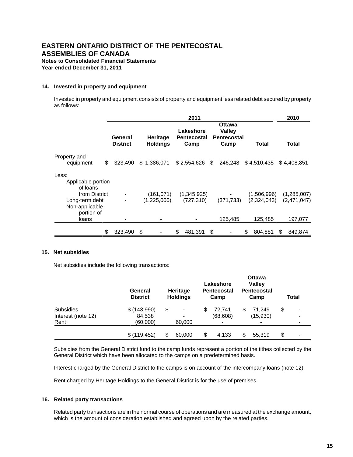**Year ended December 31, 2011**

#### **14. Invested in property and equipment**

Invested in property and equipment consists of property and equipment less related debt secured by property as follows:

|                                                                 | 2011                       |                                    |                                         |                                                       | 2010                       |                            |
|-----------------------------------------------------------------|----------------------------|------------------------------------|-----------------------------------------|-------------------------------------------------------|----------------------------|----------------------------|
|                                                                 | General<br><b>District</b> | <b>Heritage</b><br><b>Holdings</b> | Lakeshore<br><b>Pentecostal</b><br>Camp | Ottawa<br><b>Valley</b><br><b>Pentecostal</b><br>Camp | Total                      | Total                      |
| Property and<br>\$<br>equipment                                 | 323.490                    | \$1,386,071                        | $$2,554,626$ \,                         | 246,248                                               | \$4,510,435                | \$4,408,851                |
| Less:<br>Applicable portion<br>of loans                         |                            |                                    |                                         |                                                       |                            |                            |
| from District<br>Long-term debt<br>Non-applicable<br>portion of |                            | (161, 071)<br>(1,225,000)          | (1,345,925)<br>(727, 310)               | (371, 733)                                            | (1,506,996)<br>(2,324,043) | (1,285,007)<br>(2,471,047) |
| loans                                                           |                            |                                    |                                         | 125,485                                               | 125,485                    | 197,077                    |
| \$                                                              | 323,490                    | \$                                 | \$<br>481,391                           | \$                                                    | \$<br>804,881              | \$<br>849,874              |

#### **15. Net subsidies**

Net subsidies include the following transactions:

|                    | General<br><b>District</b> | Heritage<br><b>Holdings</b> |    | Lakeshore<br><b>Pentecostal</b><br>Camp | <b>Ottawa</b><br><b>Valley</b><br><b>Pentecostal</b><br>Camp | Total   |
|--------------------|----------------------------|-----------------------------|----|-----------------------------------------|--------------------------------------------------------------|---------|
| <b>Subsidies</b>   | \$(143,990)                | \$                          | S  | 72.741                                  | 71.249                                                       | \$<br>- |
| Interest (note 12) | 84,538                     |                             |    | (68, 608)                               | (15,930)                                                     |         |
| Rent               | (60,000)                   | 60,000                      |    |                                         |                                                              |         |
|                    | \$(119, 452)               | \$<br>60,000                | \$ | 4.133                                   | 55,319                                                       | \$<br>- |

Subsidies from the General District fund to the camp funds represent a portion of the tithes collected by the General District which have been allocated to the camps on a predetermined basis.

Interest charged by the General District to the camps is on account of the intercompany loans (note 12).

Rent charged by Heritage Holdings to the General District is for the use of premises.

#### **16. Related party transactions**

Related party transactions are in the normal course of operations and are measured at the exchange amount, which is the amount of consideration established and agreed upon by the related parties.